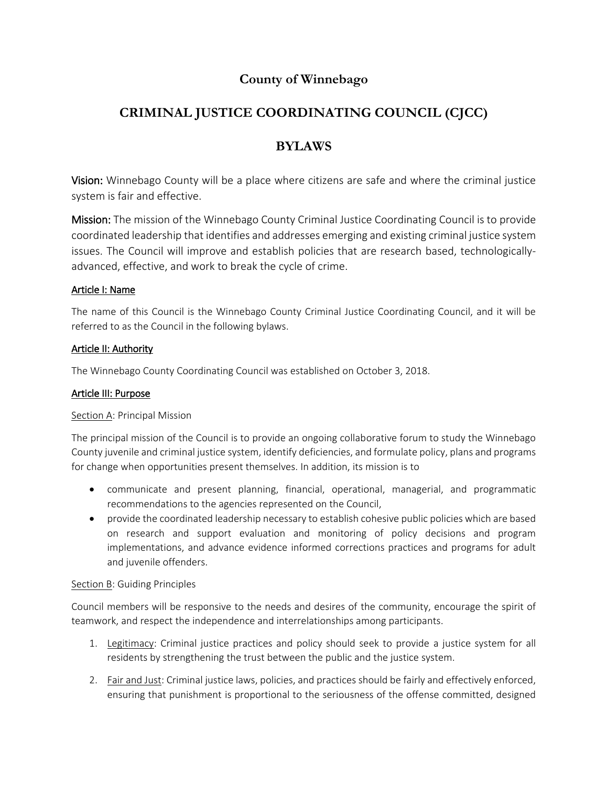# **County of Winnebago**

# **CRIMINAL JUSTICE COORDINATING COUNCIL (CJCC)**

# **BYLAWS**

Vision: Winnebago County will be a place where citizens are safe and where the criminal justice system is fair and effective.

Mission: The mission of the Winnebago County Criminal Justice Coordinating Council is to provide coordinated leadership that identifies and addresses emerging and existing criminal justice system issues. The Council will improve and establish policies that are research based, technologicallyadvanced, effective, and work to break the cycle of crime.

# Article I: Name

The name of this Council is the Winnebago County Criminal Justice Coordinating Council, and it will be referred to as the Council in the following bylaws.

## Article II: Authority

The Winnebago County Coordinating Council was established on October 3, 2018.

## Article III: Purpose

## Section A: Principal Mission

The principal mission of the Council is to provide an ongoing collaborative forum to study the Winnebago County juvenile and criminal justice system, identify deficiencies, and formulate policy, plans and programs for change when opportunities present themselves. In addition, its mission is to

- communicate and present planning, financial, operational, managerial, and programmatic recommendations to the agencies represented on the Council,
- provide the coordinated leadership necessary to establish cohesive public policies which are based on research and support evaluation and monitoring of policy decisions and program implementations, and advance evidence informed corrections practices and programs for adult and juvenile offenders.

## Section B: Guiding Principles

Council members will be responsive to the needs and desires of the community, encourage the spirit of teamwork, and respect the independence and interrelationships among participants.

- 1. Legitimacy: Criminal justice practices and policy should seek to provide a justice system for all residents by strengthening the trust between the public and the justice system.
- 2. Fair and Just: Criminal justice laws, policies, and practices should be fairly and effectively enforced, ensuring that punishment is proportional to the seriousness of the offense committed, designed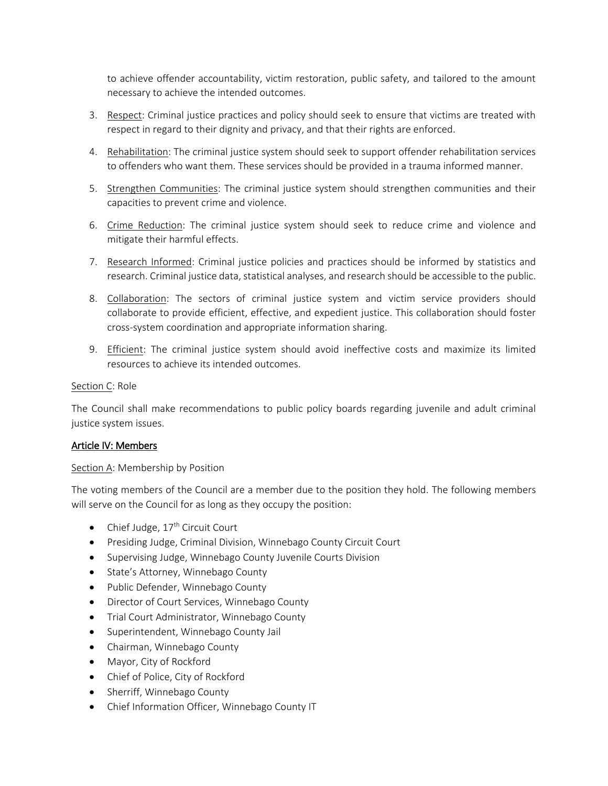to achieve offender accountability, victim restoration, public safety, and tailored to the amount necessary to achieve the intended outcomes.

- 3. Respect: Criminal justice practices and policy should seek to ensure that victims are treated with respect in regard to their dignity and privacy, and that their rights are enforced.
- 4. Rehabilitation: The criminal justice system should seek to support offender rehabilitation services to offenders who want them. These services should be provided in a trauma informed manner.
- 5. Strengthen Communities: The criminal justice system should strengthen communities and their capacities to prevent crime and violence.
- 6. Crime Reduction: The criminal justice system should seek to reduce crime and violence and mitigate their harmful effects.
- 7. Research Informed: Criminal justice policies and practices should be informed by statistics and research. Criminal justice data, statistical analyses, and research should be accessible to the public.
- 8. Collaboration: The sectors of criminal justice system and victim service providers should collaborate to provide efficient, effective, and expedient justice. This collaboration should foster cross-system coordination and appropriate information sharing.
- 9. Efficient: The criminal justice system should avoid ineffective costs and maximize its limited resources to achieve its intended outcomes.

## Section C: Role

The Council shall make recommendations to public policy boards regarding juvenile and adult criminal justice system issues.

## Article IV: Members

## Section A: Membership by Position

The voting members of the Council are a member due to the position they hold. The following members will serve on the Council for as long as they occupy the position:

- Chief Judge,  $17<sup>th</sup>$  Circuit Court
- Presiding Judge, Criminal Division, Winnebago County Circuit Court
- Supervising Judge, Winnebago County Juvenile Courts Division
- State's Attorney, Winnebago County
- Public Defender, Winnebago County
- Director of Court Services, Winnebago County
- Trial Court Administrator, Winnebago County
- Superintendent, Winnebago County Jail
- Chairman, Winnebago County
- Mayor, City of Rockford
- Chief of Police, City of Rockford
- Sherriff, Winnebago County
- Chief Information Officer, Winnebago County IT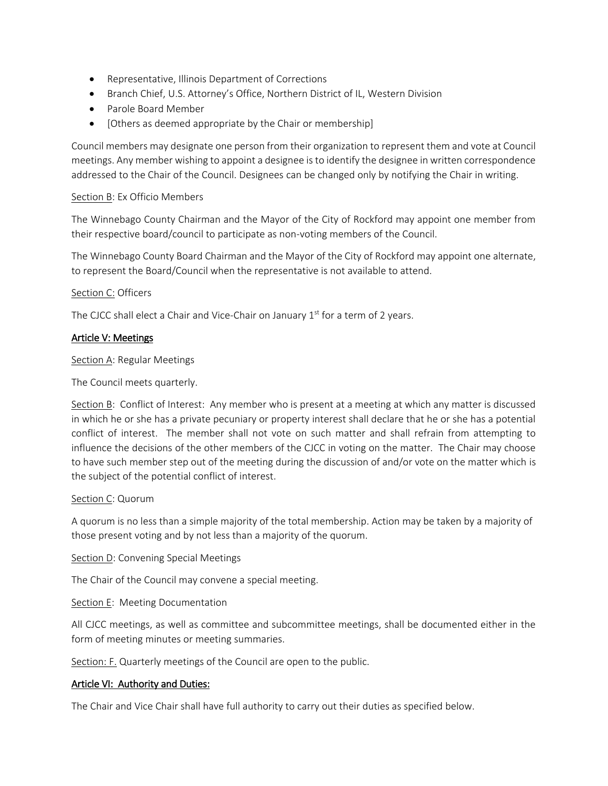- Representative, Illinois Department of Corrections
- Branch Chief, U.S. Attorney's Office, Northern District of IL, Western Division
- Parole Board Member
- [Others as deemed appropriate by the Chair or membership]

Council members may designate one person from their organization to represent them and vote at Council meetings. Any member wishing to appoint a designee is to identify the designee in written correspondence addressed to the Chair of the Council. Designees can be changed only by notifying the Chair in writing.

#### Section B: Ex Officio Members

The Winnebago County Chairman and the Mayor of the City of Rockford may appoint one member from their respective board/council to participate as non-voting members of the Council.

The Winnebago County Board Chairman and the Mayor of the City of Rockford may appoint one alternate, to represent the Board/Council when the representative is not available to attend.

#### Section C: Officers

The CJCC shall elect a Chair and Vice-Chair on January  $1<sup>st</sup>$  for a term of 2 years.

#### Article V: Meetings

Section A: Regular Meetings

The Council meets quarterly.

Section B: Conflict of Interest: Any member who is present at a meeting at which any matter is discussed in which he or she has a private pecuniary or property interest shall declare that he or she has a potential conflict of interest. The member shall not vote on such matter and shall refrain from attempting to influence the decisions of the other members of the CJCC in voting on the matter. The Chair may choose to have such member step out of the meeting during the discussion of and/or vote on the matter which is the subject of the potential conflict of interest.

#### Section C: Quorum

A quorum is no less than a simple majority of the total membership. Action may be taken by a majority of those present voting and by not less than a majority of the quorum.

Section D: Convening Special Meetings

The Chair of the Council may convene a special meeting.

Section E: Meeting Documentation

All CJCC meetings, as well as committee and subcommittee meetings, shall be documented either in the form of meeting minutes or meeting summaries.

Section: F. Quarterly meetings of the Council are open to the public.

## Article VI: Authority and Duties:

The Chair and Vice Chair shall have full authority to carry out their duties as specified below.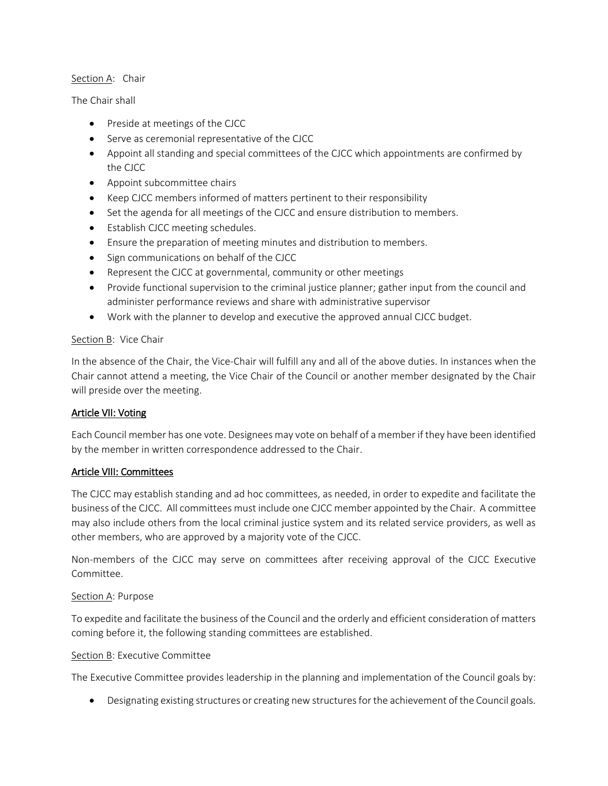## Section A: Chair

The Chair shall

- Preside at meetings of the CJCC
- Serve as ceremonial representative of the CJCC
- Appoint all standing and special committees of the CJCC which appointments are confirmed by the CJCC
- Appoint subcommittee chairs
- Keep CJCC members informed of matters pertinent to their responsibility
- Set the agenda for all meetings of the CJCC and ensure distribution to members.
- Establish CJCC meeting schedules.
- Ensure the preparation of meeting minutes and distribution to members.
- Sign communications on behalf of the CJCC
- Represent the CJCC at governmental, community or other meetings
- Provide functional supervision to the criminal justice planner; gather input from the council and administer performance reviews and share with administrative supervisor
- Work with the planner to develop and executive the approved annual CJCC budget.

## Section B: Vice Chair

In the absence of the Chair, the Vice-Chair will fulfill any and all of the above duties. In instances when the Chair cannot attend a meeting, the Vice Chair of the Council or another member designated by the Chair will preside over the meeting.

# Article VII: Voting

Each Council member has one vote. Designees may vote on behalf of a member if they have been identified by the member in written correspondence addressed to the Chair.

# Article VIII: Committees

The CJCC may establish standing and ad hoc committees, as needed, in order to expedite and facilitate the business of the CJCC. All committees must include one CJCC member appointed by the Chair. A committee may also include others from the local criminal justice system and its related service providers, as well as other members, who are approved by a majority vote of the CJCC.

Non-members of the CJCC may serve on committees after receiving approval of the CJCC Executive Committee.

# Section A: Purpose

To expedite and facilitate the business of the Council and the orderly and efficient consideration of matters coming before it, the following standing committees are established.

## Section B: Executive Committee

The Executive Committee provides leadership in the planning and implementation of the Council goals by:

Designating existing structures or creating new structures for the achievement of the Council goals.